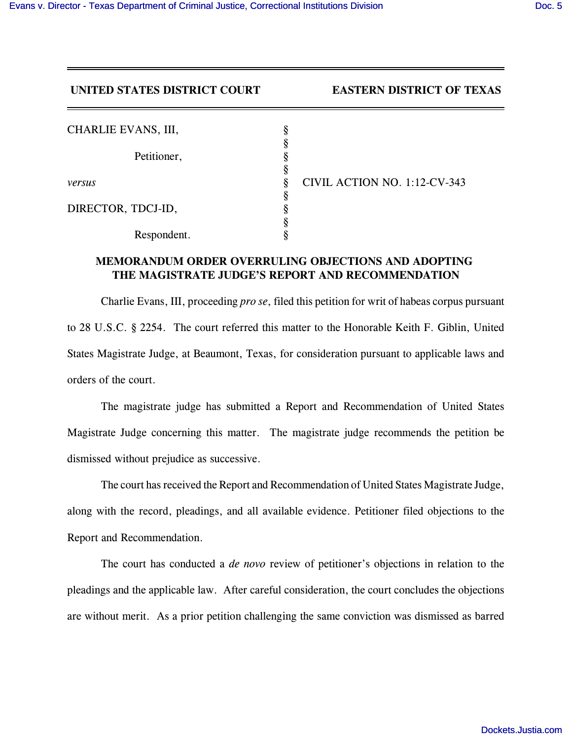## **UNITED STATES DISTRICT COURT EASTERN DISTRICT OF TEXAS**

| CHARLIE EVANS, III, |   |
|---------------------|---|
|                     |   |
| Petitioner,         |   |
| versus              |   |
|                     | 8 |
| DIRECTOR, TDCJ-ID,  | ς |
|                     |   |
| Respondent.         |   |

*vil Action No. 1:12-CV-343* 

## **MEMORANDUM ORDER OVERRULING OBJECTIONS AND ADOPTING THE MAGISTRATE JUDGE'S REPORT AND RECOMMENDATION**

Charlie Evans, III, proceeding *pro se*, filed this petition for writ of habeas corpus pursuant to 28 U.S.C. § 2254. The court referred this matter to the Honorable Keith F. Giblin, United States Magistrate Judge, at Beaumont, Texas, for consideration pursuant to applicable laws and orders of the court.

The magistrate judge has submitted a Report and Recommendation of United States Magistrate Judge concerning this matter. The magistrate judge recommends the petition be dismissed without prejudice as successive.

The court has received the Report and Recommendation of United States Magistrate Judge, along with the record, pleadings, and all available evidence. Petitioner filed objections to the Report and Recommendation.

The court has conducted a *de novo* review of petitioner's objections in relation to the pleadings and the applicable law. After careful consideration, the court concludes the objections are without merit. As a prior petition challenging the same conviction was dismissed as barred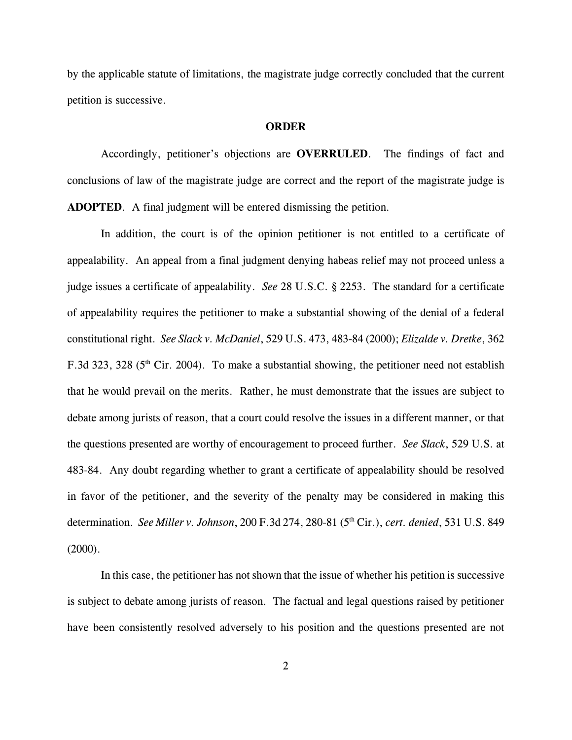by the applicable statute of limitations, the magistrate judge correctly concluded that the current petition is successive.

## **ORDER**

Accordingly, petitioner's objections are **OVERRULED**. The findings of fact and conclusions of law of the magistrate judge are correct and the report of the magistrate judge is **ADOPTED**. A final judgment will be entered dismissing the petition.

In addition, the court is of the opinion petitioner is not entitled to a certificate of appealability. An appeal from a final judgment denying habeas relief may not proceed unless a judge issues a certificate of appealability. *See* 28 U.S.C. § 2253. The standard for a certificate of appealability requires the petitioner to make a substantial showing of the denial of a federal constitutional right. *See Slack v. McDaniel*, 529 U.S. 473, 483-84 (2000); *Elizalde v. Dretke*, 362 F.3d 323, 328 ( $5<sup>th</sup>$  Cir. 2004). To make a substantial showing, the petitioner need not establish that he would prevail on the merits. Rather, he must demonstrate that the issues are subject to debate among jurists of reason, that a court could resolve the issues in a different manner, or that the questions presented are worthy of encouragement to proceed further. *See Slack*, 529 U.S. at 483-84. Any doubt regarding whether to grant a certificate of appealability should be resolved in favor of the petitioner, and the severity of the penalty may be considered in making this determination. *See Miller v. Johnson*, 200 F.3d 274, 280-81 (5<sup>th</sup> Cir.), *cert. denied*, 531 U.S. 849 (2000).

In this case, the petitioner has not shown that the issue of whether his petition is successive is subject to debate among jurists of reason. The factual and legal questions raised by petitioner have been consistently resolved adversely to his position and the questions presented are not